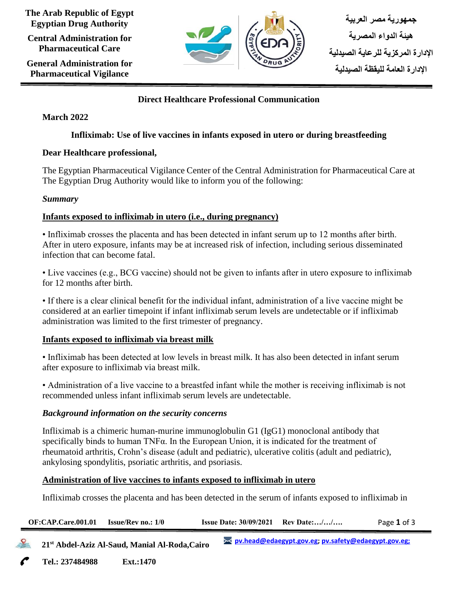**The Arab Republic of Egypt Egyptian Drug Authority**

**Central Administration for Pharmaceutical Care**

**General Administration for Pharmaceutical Vigilance**



## **Direct Healthcare Professional Communication**

### **March 2022**

# **Infliximab: Use of live vaccines in infants exposed in utero or during breastfeeding**

### **Dear Healthcare professional,**

The Egyptian Pharmaceutical Vigilance Center of the Central Administration for Pharmaceutical Care at The Egyptian Drug Authority would like to inform you of the following:

#### *Summary*

### **Infants exposed to infliximab in utero (i.e., during pregnancy)**

• Infliximab crosses the placenta and has been detected in infant serum up to 12 months after birth. After in utero exposure, infants may be at increased risk of infection, including serious disseminated infection that can become fatal.

• Live vaccines (e.g., BCG vaccine) should not be given to infants after in utero exposure to infliximab for 12 months after birth.

• If there is a clear clinical benefit for the individual infant, administration of a live vaccine might be considered at an earlier timepoint if infant infliximab serum levels are undetectable or if infliximab administration was limited to the first trimester of pregnancy.

### **Infants exposed to infliximab via breast milk**

• Infliximab has been detected at low levels in breast milk. It has also been detected in infant serum after exposure to infliximab via breast milk.

• Administration of a live vaccine to a breastfed infant while the mother is receiving infliximab is not recommended unless infant infliximab serum levels are undetectable.

### *Background information on the security concerns*

**Tel.: 237484988 Ext.:1470**

Infliximab is a chimeric human-murine immunoglobulin G1 (IgG1) monoclonal antibody that specifically binds to human TNFα. In the European Union, it is indicated for the treatment of rheumatoid arthritis, Crohn's disease (adult and pediatric), ulcerative colitis (adult and pediatric), ankylosing spondylitis, psoriatic arthritis, and psoriasis.

### **Administration of live vaccines to infants exposed to infliximab in utero**

Infliximab crosses the placenta and has been detected in the serum of infants exposed to infliximab in

| OF:CAP.Care.001.01                                         | <b>Issue/Rev no.: 1/0</b> |  |                                                        | <b>Issue Date: <math>30/09/2021</math> Rev Date://</b> | Page 1 of 3 |
|------------------------------------------------------------|---------------------------|--|--------------------------------------------------------|--------------------------------------------------------|-------------|
| 21 <sup>st</sup> Abdel-Aziz Al-Saud, Manial Al-Roda, Cairo |                           |  | >< pv.head@edaegypt.gov.eg; pv.safety@edaegypt.gov.eg; |                                                        |             |
| $T = 1$                                                    |                           |  |                                                        |                                                        |             |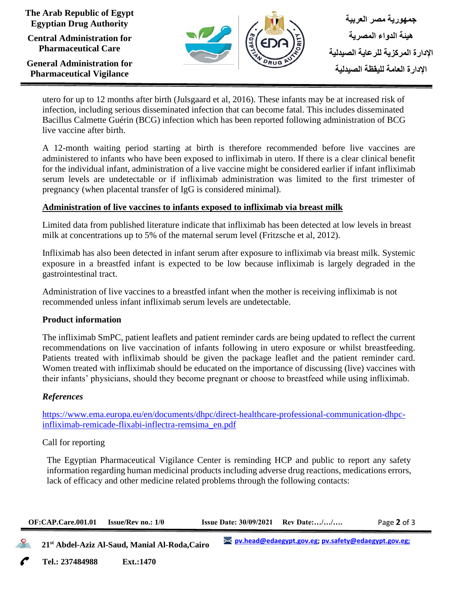**The Arab Republic of Egypt Egyptian Drug Authority**

**Central Administration for Pharmaceutical Care**

**General Administration for Pharmaceutical Vigilance**



utero for up to 12 months after birth (Julsgaard et al, 2016). These infants may be at increased risk of infection, including serious disseminated infection that can become fatal. This includes disseminated Bacillus Calmette Guérin (BCG) infection which has been reported following administration of BCG live vaccine after birth.

A 12-month waiting period starting at birth is therefore recommended before live vaccines are administered to infants who have been exposed to infliximab in utero. If there is a clear clinical benefit for the individual infant, administration of a live vaccine might be considered earlier if infant infliximab serum levels are undetectable or if infliximab administration was limited to the first trimester of pregnancy (when placental transfer of IgG is considered minimal).

### **Administration of live vaccines to infants exposed to infliximab via breast milk**

Limited data from published literature indicate that infliximab has been detected at low levels in breast milk at concentrations up to 5% of the maternal serum level (Fritzsche et al, 2012).

Infliximab has also been detected in infant serum after exposure to infliximab via breast milk. Systemic exposure in a breastfed infant is expected to be low because infliximab is largely degraded in the gastrointestinal tract.

Administration of live vaccines to a breastfed infant when the mother is receiving infliximab is not recommended unless infant infliximab serum levels are undetectable.

#### **Product information**

The infliximab SmPC, patient leaflets and patient reminder cards are being updated to reflect the current recommendations on live vaccination of infants following in utero exposure or whilst breastfeeding. Patients treated with infliximab should be given the package leaflet and the patient reminder card. Women treated with infliximab should be educated on the importance of discussing (live) vaccines with their infants' physicians, should they become pregnant or choose to breastfeed while using infliximab.

#### *References*

[https://www.ema.europa.eu/en/documents/dhpc/direct-healthcare-professional-communication-dhpc](https://www.ema.europa.eu/en/documents/dhpc/direct-healthcare-professional-communication-dhpc-infliximab-remicade-flixabi-inflectra-remsima_en.pdf)[infliximab-remicade-flixabi-inflectra-remsima\\_en.pdf](https://www.ema.europa.eu/en/documents/dhpc/direct-healthcare-professional-communication-dhpc-infliximab-remicade-flixabi-inflectra-remsima_en.pdf)

#### Call for reporting

The Egyptian Pharmaceutical Vigilance Center is reminding HCP and public to report any safety information regarding human medicinal products including adverse drug reactions, medications errors, lack of efficacy and other medicine related problems through the following contacts:

| OF:CAP.Care.001.01 | <b>Issue/Rev</b> no.: $1/0$                                | <b>Issue Date: <math>30/09/2021</math> Rev Date://</b> |                                                                      | Page 2 of 3 |  |
|--------------------|------------------------------------------------------------|--------------------------------------------------------|----------------------------------------------------------------------|-------------|--|
|                    | 21 <sup>st</sup> Abdel-Aziz Al-Saud, Manial Al-Roda, Cairo |                                                        | <u><b>EX pv.head@edaegypt.gov.eg; pv.safety@edaegypt.gov.eg;</b></u> |             |  |

**Tel.: 237484988 Ext.:1470 Cairo**